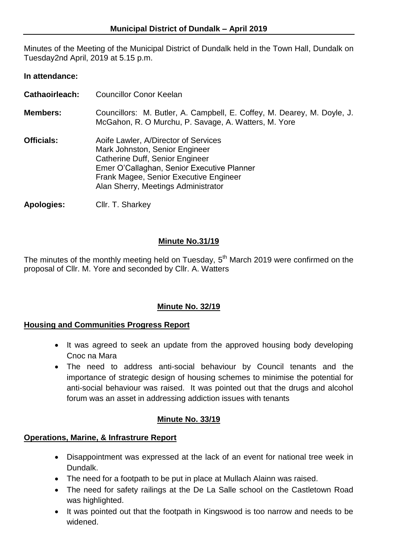Minutes of the Meeting of the Municipal District of Dundalk held in the Town Hall, Dundalk on Tuesday2nd April, 2019 at 5.15 p.m.

### **In attendance:**

- **Cathaoirleach:** Councillor Conor Keelan
- **Members:** Councillors: M. Butler, A. Campbell, E. Coffey, M. Dearey, M. Doyle, J. McGahon, R. O Murchu, P. Savage, A. Watters, M. Yore
- **Officials:** Aoife Lawler, A/Director of Services Mark Johnston, Senior Engineer Catherine Duff, Senior Engineer Emer O'Callaghan, Senior Executive Planner Frank Magee, Senior Executive Engineer Alan Sherry, Meetings Administrator

**Apologies:** Cllr. T. Sharkey

### **Minute No.31/19**

The minutes of the monthly meeting held on Tuesday,  $5<sup>th</sup>$  March 2019 were confirmed on the proposal of Cllr. M. Yore and seconded by Cllr. A. Watters

## **Minute No. 32/19**

### **Housing and Communities Progress Report**

- It was agreed to seek an update from the approved housing body developing Cnoc na Mara
- The need to address anti-social behaviour by Council tenants and the importance of strategic design of housing schemes to minimise the potential for anti-social behaviour was raised. It was pointed out that the drugs and alcohol forum was an asset in addressing addiction issues with tenants

### **Minute No. 33/19**

### **Operations, Marine, & Infrastrure Report**

- Disappointment was expressed at the lack of an event for national tree week in Dundalk.
- The need for a footpath to be put in place at Mullach Alainn was raised.
- The need for safety railings at the De La Salle school on the Castletown Road was highlighted.
- It was pointed out that the footpath in Kingswood is too narrow and needs to be widened.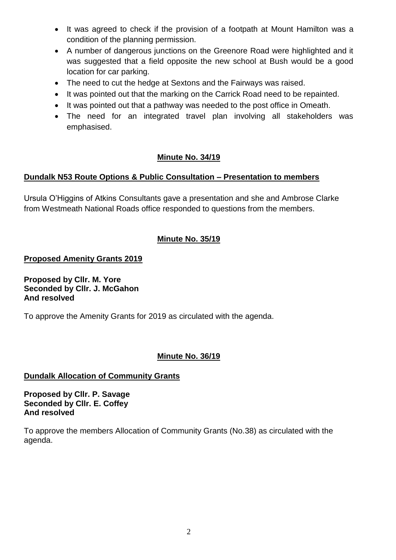- It was agreed to check if the provision of a footpath at Mount Hamilton was a condition of the planning permission.
- A number of dangerous junctions on the Greenore Road were highlighted and it was suggested that a field opposite the new school at Bush would be a good location for car parking.
- The need to cut the hedge at Sextons and the Fairways was raised.
- It was pointed out that the marking on the Carrick Road need to be repainted.
- It was pointed out that a pathway was needed to the post office in Omeath.
- The need for an integrated travel plan involving all stakeholders was emphasised.

# **Minute No. 34/19**

## **Dundalk N53 Route Options & Public Consultation – Presentation to members**

Ursula O'Higgins of Atkins Consultants gave a presentation and she and Ambrose Clarke from Westmeath National Roads office responded to questions from the members.

# **Minute No. 35/19**

## **Proposed Amenity Grants 2019**

**Proposed by Cllr. M. Yore Seconded by Cllr. J. McGahon And resolved**

To approve the Amenity Grants for 2019 as circulated with the agenda.

## **Minute No. 36/19**

## **Dundalk Allocation of Community Grants**

**Proposed by Cllr. P. Savage Seconded by Cllr. E. Coffey And resolved**

To approve the members Allocation of Community Grants (No.38) as circulated with the agenda.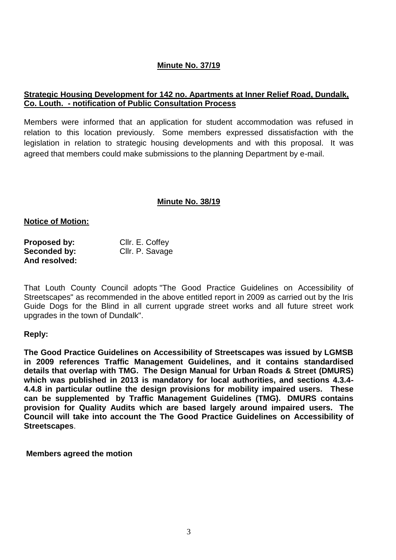## **Minute No. 37/19**

### **Strategic Housing Development for 142 no. Apartments at Inner Relief Road, Dundalk, Co. Louth. - notification of Public Consultation Process**

Members were informed that an application for student accommodation was refused in relation to this location previously. Some members expressed dissatisfaction with the legislation in relation to strategic housing developments and with this proposal. It was agreed that members could make submissions to the planning Department by e-mail.

### **Minute No. 38/19**

#### **Notice of Motion:**

| Proposed by:  | Cllr. E. Coffey |
|---------------|-----------------|
| Seconded by:  | Cllr. P. Savage |
| And resolved: |                 |

That Louth County Council adopts "The Good Practice Guidelines on Accessibility of Streetscapes" as recommended in the above entitled report in 2009 as carried out by the Iris Guide Dogs for the Blind in all current upgrade street works and all future street work upgrades in the town of Dundalk".

### **Reply:**

**The Good Practice Guidelines on Accessibility of Streetscapes was issued by LGMSB in 2009 references Traffic Management Guidelines, and it contains standardised details that overlap with TMG. The Design Manual for Urban Roads & Street (DMURS) which was published in 2013 is mandatory for local authorities, and sections 4.3.4- 4.4.8 in particular outline the design provisions for mobility impaired users. These can be supplemented by Traffic Management Guidelines (TMG). DMURS contains provision for Quality Audits which are based largely around impaired users. The Council will take into account the The Good Practice Guidelines on Accessibility of Streetscapes**.

**Members agreed the motion**